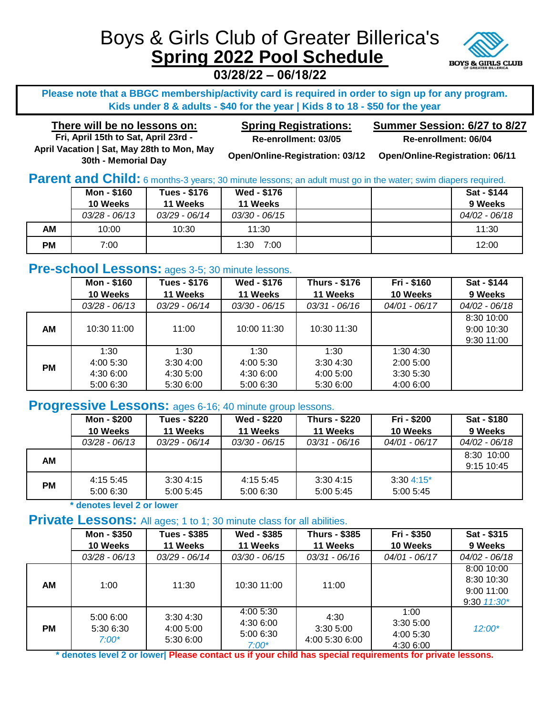# Boys & Girls Club of Greater Billerica's **Spring 2022 Pool Schedule**



**03/28/22 – 06/18/22**

**Please note that a BBGC membership/activity card is required in order to sign up for any program. Kids under 8 & adults - \$40 for the year | Kids 8 to 18 - \$50 for the year**

**There will be no lessons on: Spring Registrations: Fri, April 15th to Sat, April 23rd - Re-enrollment: 03/05 April Vacation | Sat, May 28th to Mon, May 30th - Memorial Day**

**Summer Session: 6/27 to 8/27 Re-enrollment: 06/04**

**Open/Online-Registration: 03/12 Open/Online-Registration: 06/11**

**Parent and Child:** 6 months-3 years; 30 minute lessons; an adult must go in the water; swim diapers required.

|    | Mon - \$160     | Tues - \$176    | <b>Wed - \$176</b> |  | Sat - \$144   |
|----|-----------------|-----------------|--------------------|--|---------------|
|    | 10 Weeks        | 11 Weeks        | 11 Weeks           |  | 9 Weeks       |
|    | $03/28 - 06/13$ | $03/29 - 06/14$ | 03/30 - 06/15      |  | 04/02 - 06/18 |
| AМ | 10:00           | 10:30           | 11:30              |  | 11:30         |
| РM | 7:00            |                 | 7:00<br>1:30       |  | 12:00         |

# **Pre-school Lessons:** ages 3-5; 30 minute lessons.

|           | Mon - \$160   | <b>Tues - \$176</b> | Wed - \$176   | <b>Thurs - \$176</b> | Fri - \$160   | Sat - \$144   |
|-----------|---------------|---------------------|---------------|----------------------|---------------|---------------|
|           | 10 Weeks      | 11 Weeks            | 11 Weeks      | 11 Weeks             | 10 Weeks      | 9 Weeks       |
|           | 03/28 - 06/13 | 03/29 - 06/14       | 03/30 - 06/15 | 03/31 - 06/16        | 04/01 - 06/17 | 04/02 - 06/18 |
|           |               |                     |               |                      |               | 8:30 10:00    |
| AM        | 10:30 11:00   | 11:00               | 10:00 11:30   | 10:30 11:30          |               | 9:00 10:30    |
|           |               |                     |               |                      |               | 9:30 11:00    |
|           | 1:30          | 1:30                | 1:30          | 1:30                 | 1:304:30      |               |
| <b>PM</b> | 4:00 5:30     | 3:30,4:00           | 4:00 5:30     | 3:304:30             | 2:00 5:00     |               |
|           | 4:30 6:00     | 4:30 5:00           | 4:30 6:00     | 4:00 5:00            | 3:30 5:30     |               |
|           | 5:00 6:30     | 5:30 6:00           | 5:00 6:30     | 5:30 6:00            | 4:00 6:00     |               |

## **Progressive Lessons:** ages 6-16; 40 minute group lessons.

|    | Mon - \$200     | <b>Tues - \$220</b> | <b>Wed - \$220</b> | <b>Thurs - \$220</b> | Fri - \$200     | Sat - \$180     |
|----|-----------------|---------------------|--------------------|----------------------|-----------------|-----------------|
|    | 10 Weeks        | 11 Weeks            | 11 Weeks           | 11 Weeks             | 10 Weeks        | 9 Weeks         |
|    | $03/28 - 06/13$ | $03/29 - 06/14$     | $03/30 - 06/15$    | $03/31 - 06/16$      | $04/01 - 06/17$ | $04/02 - 06/18$ |
| AМ |                 |                     |                    |                      |                 | 8:30 10:00      |
|    |                 |                     |                    |                      |                 | 9:15 10:45      |
|    | 4:15 5:45       | 3:304:15            | 4:15 5:45          | 3:304:15             | $3:304:15*$     |                 |
| PМ | 5:00 6:30       | 5:005:45            | 5:00 6:30          | 5:00 5:45            | 5:005:45        |                 |
|    |                 |                     |                    |                      |                 |                 |

**\* denotes level 2 or lower**

## **Private Lessons:** All ages: 1 to 1; 30 minute class for all abilities.

|           | Mon - \$350<br>10 Weeks           | Tues - \$385<br>11 Weeks           | Wed - \$385<br>11 Weeks                        | Thurs - \$385<br>11 Weeks          | Fri - \$350<br>10 Weeks                    | Sat - \$315<br>9 Weeks                                    |
|-----------|-----------------------------------|------------------------------------|------------------------------------------------|------------------------------------|--------------------------------------------|-----------------------------------------------------------|
|           | $03/28 - 06/13$                   | 03/29 - 06/14                      | $03/30 - 06/15$                                | 03/31 - 06/16                      | 04/01 - 06/17                              | 04/02 - 06/18                                             |
| АM        | 1:00                              | 11:30                              | 10:30 11:00                                    | 11:00                              |                                            | 8:00 10:00<br>8:30 10:30<br>9:00 11:00<br>$9:30$ $11:30*$ |
| <b>PM</b> | 5:00 6:00<br>5:30 6:30<br>$7:00*$ | 3:304:30<br>4:00 5:00<br>5:30 6:00 | 4:00 5:30<br>4:30 6:00<br>5:00 6:30<br>$7:00*$ | 4:30<br>3:305:00<br>4:00 5:30 6:00 | 1:00<br>3:305:00<br>4:00 5:30<br>4:30 6:00 | $12:00*$                                                  |

**\* denotes level 2 or lower| Please contact us if your child has special requirements for private lessons.**